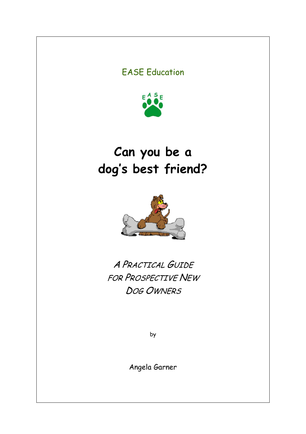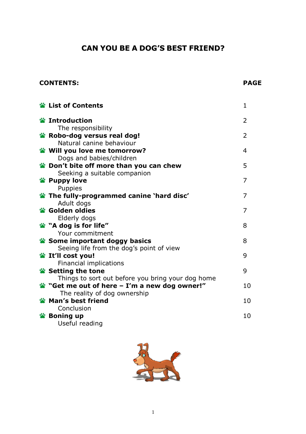# CAN YOU BE A DOG'S BEST FRIEND?

## CONTENTS: PAGE

| <b>Example 12 List of Contents</b>                                    | 1              |
|-----------------------------------------------------------------------|----------------|
| <b>鉴 Introduction</b>                                                 | 2              |
| The responsibility<br>Robo-dog versus real dog!                       | $\overline{2}$ |
| Natural canine behaviour                                              |                |
| Will you love me tomorrow?                                            | 4              |
| Dogs and babies/children                                              |                |
| pon't bite off more than you can chew                                 | 5              |
| Seeking a suitable companion                                          |                |
| <b>Example 19 Puppy love</b>                                          | 7              |
| <b>Puppies</b>                                                        | 7              |
| <b>S</b> The fully-programmed canine 'hard disc'<br>Adult dogs        |                |
| <b>※ Golden oldies</b>                                                | 7              |
| Elderly dogs                                                          |                |
| 當 "A dog is for life"                                                 | 8              |
| Your commitment                                                       |                |
| Some important doggy basics                                           | 8              |
| Seeing life from the dog's point of view                              |                |
| <b>Solution</b> It'll cost you!                                       | 9              |
| Financial implications                                                | 9              |
| Setting the tone<br>Things to sort out before you bring your dog home |                |
| "Get me out of here $-$ I'm a new dog owner!"                         | 10             |
| The reality of dog ownership                                          |                |
| Man's best friend                                                     | 10             |
| Conclusion                                                            |                |
| <b>&amp;</b> Boning up                                                | 10             |
| Useful reading                                                        |                |

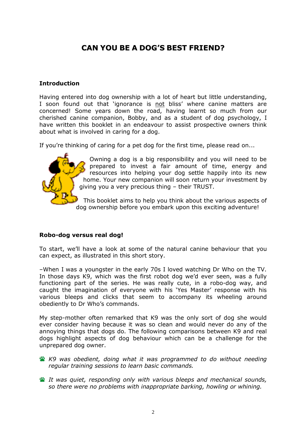# CAN YOU BE A DOG'S BEST FRIEND?

#### Introduction

Having entered into dog ownership with a lot of heart but little understanding, I soon found out that 'ignorance is not bliss' where canine matters are concerned! Some years down the road, having learnt so much from our cherished canine companion, Bobby, and as a student of dog psychology, I have written this booklet in an endeavour to assist prospective owners think about what is involved in caring for a dog.

If you're thinking of caring for a pet dog for the first time, please read on...



Owning a dog is a big responsibility and you will need to be prepared to invest a fair amount of time, energy and resources into helping your dog settle happily into its new home. Your new companion will soon return your investment by giving you a very precious thing – their TRUST.

This booklet aims to help you think about the various aspects of dog ownership before you embark upon this exciting adventure!

## Robo-dog versus real dog!

To start, we'll have a look at some of the natural canine behaviour that you can expect, as illustrated in this short story.

–When I was a youngster in the early 70s I loved watching Dr Who on the TV. In those days K9, which was the first robot dog we'd ever seen, was a fully functioning part of the series. He was really cute, in a robo-dog way, and caught the imagination of everyone with his 'Yes Master' response with his various bleeps and clicks that seem to accompany its wheeling around obediently to Dr Who's commands.

My step-mother often remarked that K9 was the only sort of dog she would ever consider having because it was so clean and would never do any of the annoying things that dogs do. The following comparisons between K9 and real dogs highlight aspects of dog behaviour which can be a challenge for the unprepared dog owner.

**K9** was obedient, doing what it was programmed to do without needing regular training sessions to learn basic commands.

**EX** It was quiet, responding only with various bleeps and mechanical sounds, so there were no problems with inappropriate barking, howling or whining.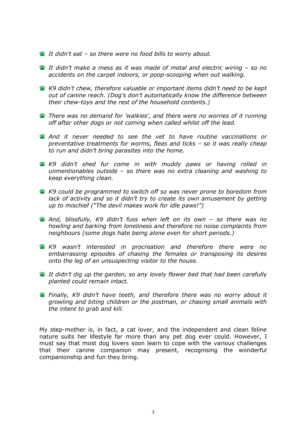- It didn't eat so there were no food bills to worry about.
- It didn't make a mess as it was made of metal and electric wiring so no accidents on the carpet indoors, or poop-scooping when out walking.
- K9 didn't chew, therefore valuable or important items didn't need to be kept out of canine reach. (Dog's don't automatically know the difference between their chew-toys and the rest of the household contents.)
- There was no demand for 'walkies', and there were no worries of it running off after other dogs or not coming when called whilst off the lead.
- And it never needed to see the vet to have routine vaccinations or preventative treatments for worms, fleas and ticks – so it was really cheap to run and didn't bring parasites into the home.
- **K9** didn't shed fur come in with muddy paws or having rolled in unmentionables outside – so there was no extra cleaning and washing to keep everything clean.
- K9 could be programmed to switch off so was never prone to boredom from lack of activity and so it didn't try to create its own amusement by getting up to mischief ("The devil makes work for idle paws!")
- And, blissfully, K9 didn't fuss when left on its own so there was no howling and barking from loneliness and therefore no noise complaints from neighbours (some dogs hate being alone even for short periods.)
- K9 wasn't interested in procreation and therefore there were no embarrassing episodes of chasing the females or transposing its desires onto the leg of an unsuspecting visitor to the house.
- It didn't dig up the garden, so any lovely flower bed that had been carefully planted could remain intact.
- **Finally, K9 didn't have teeth, and therefore there was no worry about it** growling and biting children or the postman, or chasing small animals with the intent to grab and kill.

My step-mother is, in fact, a cat lover, and the independent and clean feline nature suits her lifestyle far more than any pet dog ever could. However, I must say that most dog lovers soon learn to cope with the various challenges that their canine companion may present, recognising the wonderful companionship and fun they bring.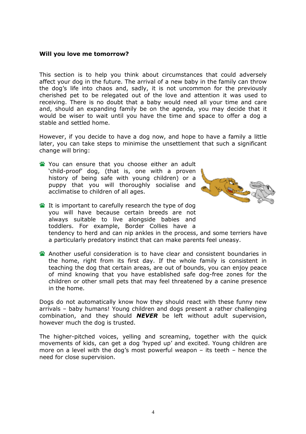#### Will you love me tomorrow?

This section is to help you think about circumstances that could adversely affect your dog in the future. The arrival of a new baby in the family can throw the dog's life into chaos and, sadly, it is not uncommon for the previously cherished pet to be relegated out of the love and attention it was used to receiving. There is no doubt that a baby would need all your time and care and, should an expanding family be on the agenda, you may decide that it would be wiser to wait until you have the time and space to offer a dog a stable and settled home.

However, if you decide to have a dog now, and hope to have a family a little later, you can take steps to minimise the unsettlement that such a significant change will bring:

- You can ensure that you choose either an adult 'child-proof' dog, (that is, one with a proven history of being safe with young children) or a puppy that you will thoroughly socialise and acclimatise to children of all ages.
- It is important to carefully research the type of dog you will have because certain breeds are not always suitable to live alongside babies and toddlers. For example, Border Collies have a



tendency to herd and can nip ankles in the process, and some terriers have a particularly predatory instinct that can make parents feel uneasy.

Another useful consideration is to have clear and consistent boundaries in the home, right from its first day. If the whole family is consistent in teaching the dog that certain areas, are out of bounds, you can enjoy peace of mind knowing that you have established safe dog-free zones for the children or other small pets that may feel threatened by a canine presence in the home.

Dogs do not automatically know how they should react with these funny new arrivals – baby humans! Young children and dogs present a rather challenging combination, and they should  $NEVER$  be left without adult supervision, however much the dog is trusted.

The higher-pitched voices, yelling and screaming, together with the quick movements of kids, can get a dog 'hyped up' and excited. Young children are more on a level with the dog's most powerful weapon – its teeth – hence the need for close supervision.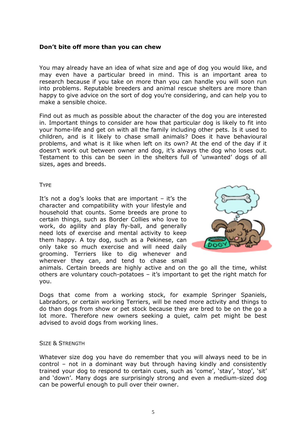#### Don't bite off more than you can chew

You may already have an idea of what size and age of dog you would like, and may even have a particular breed in mind. This is an important area to research because if you take on more than you can handle you will soon run into problems. Reputable breeders and animal rescue shelters are more than happy to give advice on the sort of dog you're considering, and can help you to make a sensible choice.

Find out as much as possible about the character of the dog you are interested in. Important things to consider are how that particular dog is likely to fit into your home-life and get on with all the family including other pets. Is it used to children, and is it likely to chase small animals? Does it have behavioural problems, and what is it like when left on its own? At the end of the day if it doesn't work out between owner and dog, it's always the dog who loses out. Testament to this can be seen in the shelters full of 'unwanted' dogs of all sizes, ages and breeds.

#### **TYPF**

It's not a dog's looks that are important – it's the character and compatibility with your lifestyle and household that counts. Some breeds are prone to certain things, such as Border Collies who love to work, do agility and play fly-ball, and generally need lots of exercise and mental activity to keep them happy. A toy dog, such as a Pekinese, can only take so much exercise and will need daily grooming. Terriers like to dig whenever and wherever they can, and tend to chase small



animals. Certain breeds are highly active and on the go all the time, whilst others are voluntary couch-potatoes – it's important to get the right match for you.

Dogs that come from a working stock, for example Springer Spaniels, Labradors, or certain working Terriers, will be need more activity and things to do than dogs from show or pet stock because they are bred to be on the go a lot more. Therefore new owners seeking a quiet, calm pet might be best advised to avoid dogs from working lines.

#### SIZE & STRENGTH

Whatever size dog you have do remember that you will always need to be in control – not in a dominant way but through having kindly and consistently trained your dog to respond to certain cues, such as 'come', 'stay', 'stop', 'sit' and 'down'. Many dogs are surprisingly strong and even a medium-sized dog can be powerful enough to pull over their owner.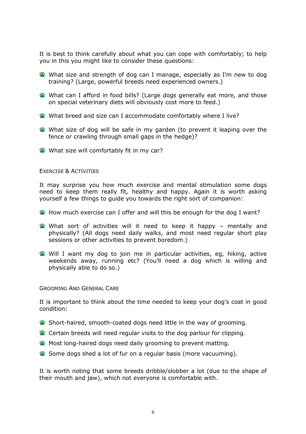It is best to think carefully about what you can cope with comfortably; to help you in this you might like to consider these questions:

- What size and strength of dog can I manage, especially as I'm new to dog training? (Large, powerful breeds need experienced owners.)
- What can I afford in food bills? (Large dogs generally eat more, and those on special veterinary diets will obviously cost more to feed.)
- What breed and size can I accommodate comfortably where I live?
- What size of dog will be safe in my garden (to prevent it leaping over the fence or crawling through small gaps in the hedge)?
- **What size will comfortably fit in my car?**

#### EXERCISE & ACTIVITIES

It may surprise you how much exercise and mental stimulation some dogs need to keep them really fit, healthy and happy. Again it is worth asking yourself a few things to guide you towards the right sort of companion:

- How much exercise can I offer and will this be enough for the dog I want?
- What sort of activities will it need to keep it happy mentally and physically? (All dogs need daily walks, and most need regular short play sessions or other activities to prevent boredom.)
- Will I want my dog to join me in particular activities, eg, hiking, active weekends away, running etc? (You'll need a dog which is willing and physically able to do so.)

GROOMING AND GENERAL CARE

It is important to think about the time needed to keep your dog's coat in good condition:

- Short-haired, smooth-coated dogs need little in the way of grooming.
- Certain breeds will need regular visits to the dog parlour for clipping.
- **W** Most long-haired dogs need daily grooming to prevent matting.
- Some dogs shed a lot of fur on a regular basis (more vacuuming).

It is worth noting that some breeds dribble/slobber a lot (due to the shape of their mouth and jaw), which not everyone is comfortable with.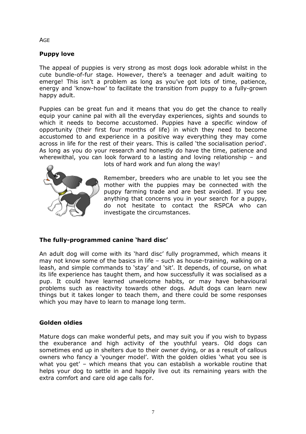**AGE** 

## Puppy love

The appeal of puppies is very strong as most dogs look adorable whilst in the cute bundle-of-fur stage. However, there's a teenager and adult waiting to emerge! This isn't a problem as long as you've got lots of time, patience, energy and 'know-how' to facilitate the transition from puppy to a fully-grown happy adult.

Puppies can be great fun and it means that you do get the chance to really equip your canine pal with all the everyday experiences, sights and sounds to which it needs to become accustomed. Puppies have a specific window of opportunity (their first four months of life) in which they need to become accustomed to and experience in a positive way everything they may come across in life for the rest of their years. This is called 'the socialisation period'. As long as you do your research and honestly do have the time, patience and wherewithal, you can look forward to a lasting and loving relationship – and



lots of hard work and fun along the way!

Remember, breeders who are unable to let you see the mother with the puppies may be connected with the puppy farming trade and are best avoided. If you see anything that concerns you in your search for a puppy, do not hesitate to contact the RSPCA who can investigate the circumstances.

## The fully-programmed canine 'hard disc'

An adult dog will come with its 'hard disc' fully programmed, which means it may not know some of the basics in life – such as house-training, walking on a leash, and simple commands to 'stay' and 'sit'. It depends, of course, on what its life experience has taught them, and how successfully it was socialised as a pup. It could have learned unwelcome habits, or may have behavioural problems such as reactivity towards other dogs. Adult dogs can learn new things but it takes longer to teach them, and there could be some responses which you may have to learn to manage long term.

## Golden oldies

Mature dogs can make wonderful pets, and may suit you if you wish to bypass the exuberance and high activity of the youthful years. Old dogs can sometimes end up in shelters due to their owner dying, or as a result of callous owners who fancy a 'younger model'. With the golden oldies 'what you see is what you get' – which means that you can establish a workable routine that helps your dog to settle in and happily live out its remaining years with the extra comfort and care old age calls for.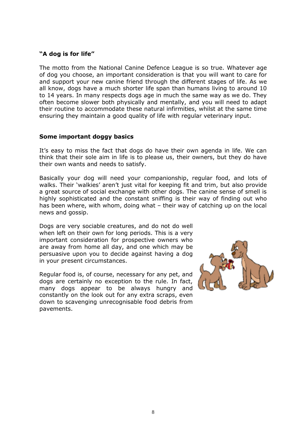## "A dog is for life"

The motto from the National Canine Defence League is so true. Whatever age of dog you choose, an important consideration is that you will want to care for and support your new canine friend through the different stages of life. As we all know, dogs have a much shorter life span than humans living to around 10 to 14 years. In many respects dogs age in much the same way as we do. They often become slower both physically and mentally, and you will need to adapt their routine to accommodate these natural infirmities, whilst at the same time ensuring they maintain a good quality of life with regular veterinary input.

## Some important doggy basics

It's easy to miss the fact that dogs do have their own agenda in life. We can think that their sole aim in life is to please us, their owners, but they do have their own wants and needs to satisfy.

Basically your dog will need your companionship, regular food, and lots of walks. Their 'walkies' aren't just vital for keeping fit and trim, but also provide a great source of social exchange with other dogs. The canine sense of smell is highly sophisticated and the constant sniffing is their way of finding out who has been where, with whom, doing what – their way of catching up on the local news and gossip.

Dogs are very sociable creatures, and do not do well when left on their own for long periods. This is a very important consideration for prospective owners who are away from home all day, and one which may be persuasive upon you to decide against having a dog in your present circumstances.

Regular food is, of course, necessary for any pet, and dogs are certainly no exception to the rule. In fact, many dogs appear to be always hungry and constantly on the look out for any extra scraps, even down to scavenging unrecognisable food debris from pavements.

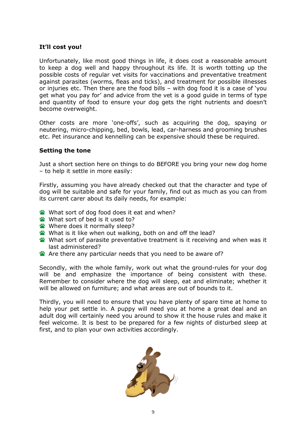### It'll cost you!

Unfortunately, like most good things in life, it does cost a reasonable amount to keep a dog well and happy throughout its life. It is worth totting up the possible costs of regular vet visits for vaccinations and preventative treatment against parasites (worms, fleas and ticks), and treatment for possible illnesses or injuries etc. Then there are the food bills – with dog food it is a case of 'you get what you pay for' and advice from the vet is a good guide in terms of type and quantity of food to ensure your dog gets the right nutrients and doesn't become overweight.

Other costs are more 'one-offs', such as acquiring the dog, spaying or neutering, micro-chipping, bed, bowls, lead, car-harness and grooming brushes etc. Pet insurance and kennelling can be expensive should these be required.

#### Setting the tone

Just a short section here on things to do BEFORE you bring your new dog home – to help it settle in more easily:

Firstly, assuming you have already checked out that the character and type of dog will be suitable and safe for your family, find out as much as you can from its current carer about its daily needs, for example:

- What sort of dog food does it eat and when?
- What sort of bed is it used to?
- **Where does it normally sleep?**
- What is it like when out walking, both on and off the lead?
- What sort of parasite preventative treatment is it receiving and when was it last administered?
- Are there any particular needs that you need to be aware of?

Secondly, with the whole family, work out what the ground-rules for your dog will be and emphasize the importance of being consistent with these. Remember to consider where the dog will sleep, eat and eliminate; whether it will be allowed on furniture; and what areas are out of bounds to it.

Thirdly, you will need to ensure that you have plenty of spare time at home to help your pet settle in. A puppy will need you at home a great deal and an adult dog will certainly need you around to show it the house rules and make it feel welcome. It is best to be prepared for a few nights of disturbed sleep at first, and to plan your own activities accordingly.

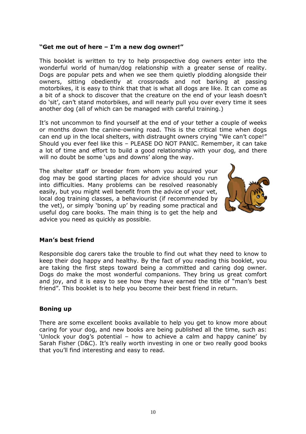## "Get me out of here – I'm a new dog owner!"

This booklet is written to try to help prospective dog owners enter into the wonderful world of human/dog relationship with a greater sense of reality. Dogs are popular pets and when we see them quietly plodding alongside their owners, sitting obediently at crossroads and not barking at passing motorbikes, it is easy to think that that is what all dogs are like. It can come as a bit of a shock to discover that the creature on the end of your leash doesn't do 'sit', can't stand motorbikes, and will nearly pull you over every time it sees another dog (all of which can be managed with careful training.)

It's not uncommon to find yourself at the end of your tether a couple of weeks or months down the canine-owning road. This is the critical time when dogs can end up in the local shelters, with distraught owners crying "We can't cope!" Should you ever feel like this – PLEASE DO NOT PANIC. Remember, it can take a lot of time and effort to build a good relationship with your dog, and there will no doubt be some 'ups and downs' along the way.

The shelter staff or breeder from whom you acquired your dog may be good starting places for advice should you run into difficulties. Many problems can be resolved reasonably easily, but you might well benefit from the advice of your vet, local dog training classes, a behaviourist (if recommended by the vet), or simply 'boning up' by reading some practical and useful dog care books. The main thing is to get the help and advice you need as quickly as possible.



## Man's best friend

Responsible dog carers take the trouble to find out what they need to know to keep their dog happy and healthy. By the fact of you reading this booklet, you are taking the first steps toward being a committed and caring dog owner. Dogs do make the most wonderful companions. They bring us great comfort and joy, and it is easy to see how they have earned the title of "man's best friend". This booklet is to help you become their best friend in return.

## Boning up

There are some excellent books available to help you get to know more about caring for your dog, and new books are being published all the time, such as: 'Unlock your dog's potential – how to achieve a calm and happy canine' by Sarah Fisher (D&C). It's really worth investing in one or two really good books that you'll find interesting and easy to read.